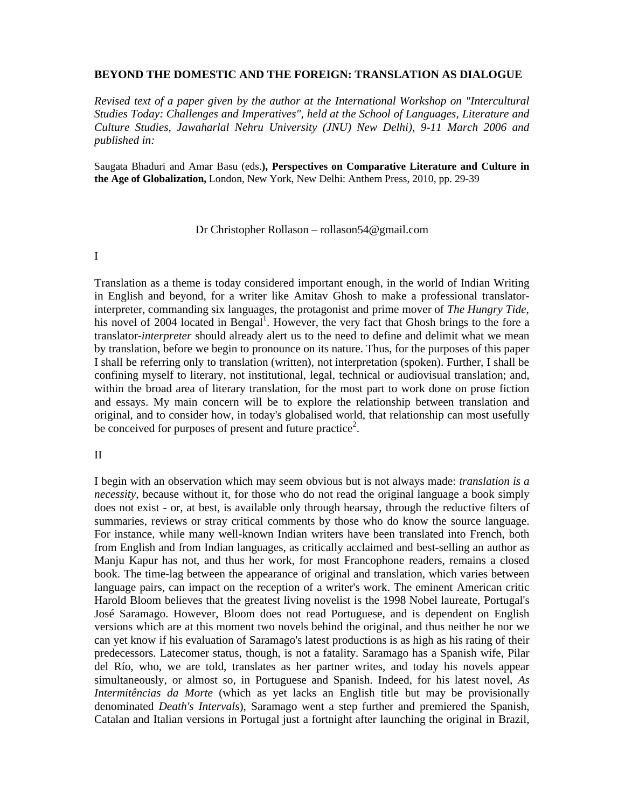### **BEYOND THE DOMESTIC AND THE FOREIGN: TRANSLATION AS DIALOGUE**

*Revised text of a paper given by the author at the International Workshop on "Intercultural Studies Today: Challenges and Imperatives", held at the School of Languages, Literature and Culture Studies, Jawaharlal Nehru University (JNU) New Delhi), 9-11 March 2006 and published in:*

Saugata Bhaduri and Amar Basu (eds.**), Perspectives on Comparative Literature and Culture in the Age of Globalization,** London, New York, New Delhi: Anthem Press, 2010, pp. 29-39

Dr Christopher Rollason – rollason54@gmail.com

I

Translation as a theme is today considered important enough, in the world of Indian Writing in English and beyond, for a writer like Amitav Ghosh to make a professional translatorinterpreter, commanding six languages, the protagonist and prime mover of *The Hungry Tide,*  his novel of 2004 located in Bengal<sup>1</sup>. However, the very fact that Ghosh brings to the fore a translator-*interpreter* should already alert us to the need to define and delimit what we mean by translation, before we begin to pronounce on its nature. Thus, for the purposes of this paper I shall be referring only to translation (written), not interpretation (spoken). Further, I shall be confining myself to literary, not institutional, legal, technical or audiovisual translation; and, within the broad area of literary translation, for the most part to work done on prose fiction and essays. My main concern will be to explore the relationship between translation and original, and to consider how, in today's globalised world, that relationship can most usefully be conceived for purposes of present and future practice<sup>2</sup>.

### II

I begin with an observation which may seem obvious but is not always made: *translation is a necessity*, because without it, for those who do not read the original language a book simply does not exist - or, at best, is available only through hearsay, through the reductive filters of summaries, reviews or stray critical comments by those who do know the source language. For instance, while many well-known Indian writers have been translated into French, both from English and from Indian languages, as critically acclaimed and best-selling an author as Manju Kapur has not, and thus her work, for most Francophone readers, remains a closed book. The time-lag between the appearance of original and translation, which varies between language pairs, can impact on the reception of a writer's work. The eminent American critic Harold Bloom believes that the greatest living novelist is the 1998 Nobel laureate, Portugal's José Saramago. However, Bloom does not read Portuguese, and is dependent on English versions which are at this moment two novels behind the original, and thus neither he nor we can yet know if his evaluation of Saramago's latest productions is as high as his rating of their predecessors. Latecomer status, though, is not a fatality. Saramago has a Spanish wife, Pilar del Río, who, we are told, translates as her partner writes, and today his novels appear simultaneously, or almost so, in Portuguese and Spanish. Indeed, for his latest novel, *As Intermitências da Morte* (which as yet lacks an English title but may be provisionally denominated *Death's Intervals*), Saramago went a step further and premiered the Spanish, Catalan and Italian versions in Portugal just a fortnight after launching the original in Brazil,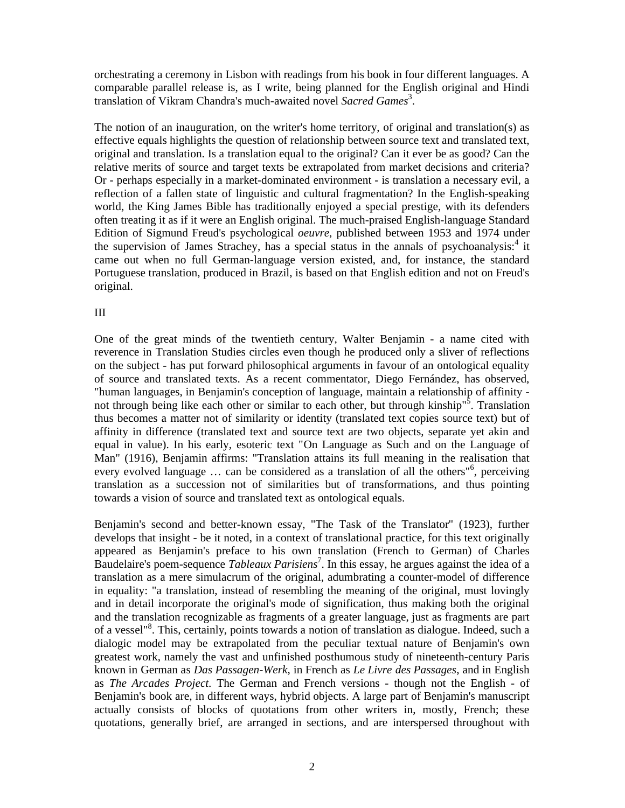orchestrating a ceremony in Lisbon with readings from his book in four different languages. A comparable parallel release is, as I write, being planned for the English original and Hindi translation of Vikram Chandra's much-awaited novel *Sacred Games*<sup>3</sup> .

The notion of an inauguration, on the writer's home territory, of original and translation(s) as effective equals highlights the question of relationship between source text and translated text, original and translation. Is a translation equal to the original? Can it ever be as good? Can the relative merits of source and target texts be extrapolated from market decisions and criteria? Or - perhaps especially in a market-dominated environment - is translation a necessary evil, a reflection of a fallen state of linguistic and cultural fragmentation? In the English-speaking world, the King James Bible has traditionally enjoyed a special prestige, with its defenders often treating it as if it were an English original. The much-praised English-language Standard Edition of Sigmund Freud's psychological *oeuvre*, published between 1953 and 1974 under the supervision of James Strachey, has a special status in the annals of psychoanalysis: $4$  it came out when no full German-language version existed, and, for instance, the standard Portuguese translation, produced in Brazil, is based on that English edition and not on Freud's original.

# III

One of the great minds of the twentieth century, Walter Benjamin - a name cited with reverence in Translation Studies circles even though he produced only a sliver of reflections on the subject - has put forward philosophical arguments in favour of an ontological equality of source and translated texts. As a recent commentator, Diego Fernández, has observed, "human languages, in Benjamin's conception of language, maintain a relationship of affinity not through being like each other or similar to each other, but through kinship"<sup>5</sup>. Translation thus becomes a matter not of similarity or identity (translated text copies source text) but of affinity in difference (translated text and source text are two objects, separate yet akin and equal in value). In his early, esoteric text "On Language as Such and on the Language of Man" (1916), Benjamin affirms: "Translation attains its full meaning in the realisation that every evolved language ... can be considered as a translation of all the others<sup>16</sup>, perceiving translation as a succession not of similarities but of transformations, and thus pointing towards a vision of source and translated text as ontological equals.

Benjamin's second and better-known essay, "The Task of the Translator" (1923), further develops that insight - be it noted, in a context of translational practice, for this text originally appeared as Benjamin's preface to his own translation (French to German) of Charles Baudelaire's poem-sequence *Tableaux Parisiens*<sup>7</sup> . In this essay, he argues against the idea of a translation as a mere simulacrum of the original, adumbrating a counter-model of difference in equality: "a translation, instead of resembling the meaning of the original, must lovingly and in detail incorporate the original's mode of signification, thus making both the original and the translation recognizable as fragments of a greater language, just as fragments are part of a vessel<sup>"8</sup>. This, certainly, points towards a notion of translation as dialogue. Indeed, such a dialogic model may be extrapolated from the peculiar textual nature of Benjamin's own greatest work, namely the vast and unfinished posthumous study of nineteenth-century Paris known in German as *Das Passagen-Werk*, in French as *Le Livre des Passages*, and in English as *The Arcades Project*. The German and French versions - though not the English - of Benjamin's book are, in different ways, hybrid objects. A large part of Benjamin's manuscript actually consists of blocks of quotations from other writers in, mostly, French; these quotations, generally brief, are arranged in sections, and are interspersed throughout with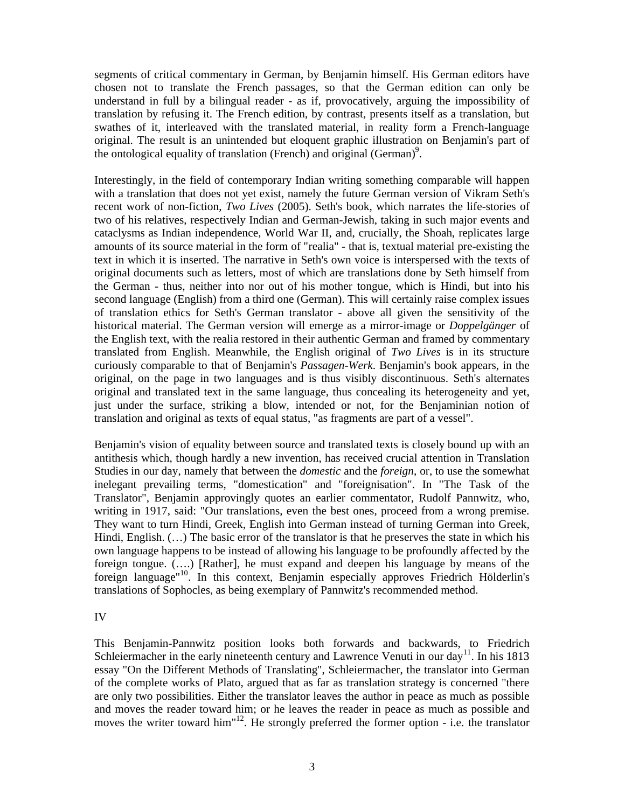segments of critical commentary in German, by Benjamin himself. His German editors have chosen not to translate the French passages, so that the German edition can only be understand in full by a bilingual reader - as if, provocatively, arguing the impossibility of translation by refusing it. The French edition, by contrast, presents itself as a translation, but swathes of it, interleaved with the translated material, in reality form a French-language original. The result is an unintended but eloquent graphic illustration on Benjamin's part of the ontological equality of translation (French) and original (German)<sup>9</sup>.

Interestingly, in the field of contemporary Indian writing something comparable will happen with a translation that does not yet exist, namely the future German version of Vikram Seth's recent work of non-fiction, *Two Lives* (2005). Seth's book, which narrates the life-stories of two of his relatives, respectively Indian and German-Jewish, taking in such major events and cataclysms as Indian independence, World War II, and, crucially, the Shoah, replicates large amounts of its source material in the form of "realia" - that is, textual material pre-existing the text in which it is inserted. The narrative in Seth's own voice is interspersed with the texts of original documents such as letters, most of which are translations done by Seth himself from the German - thus, neither into nor out of his mother tongue, which is Hindi, but into his second language (English) from a third one (German). This will certainly raise complex issues of translation ethics for Seth's German translator - above all given the sensitivity of the historical material. The German version will emerge as a mirror-image or *Doppelgänger* of the English text, with the realia restored in their authentic German and framed by commentary translated from English. Meanwhile, the English original of *Two Lives* is in its structure curiously comparable to that of Benjamin's *Passagen-Werk*. Benjamin's book appears, in the original, on the page in two languages and is thus visibly discontinuous. Seth's alternates original and translated text in the same language, thus concealing its heterogeneity and yet, just under the surface, striking a blow, intended or not, for the Benjaminian notion of translation and original as texts of equal status, "as fragments are part of a vessel".

Benjamin's vision of equality between source and translated texts is closely bound up with an antithesis which, though hardly a new invention, has received crucial attention in Translation Studies in our day, namely that between the *domestic* and the *foreign*, or, to use the somewhat inelegant prevailing terms, "domestication" and "foreignisation". In "The Task of the Translator", Benjamin approvingly quotes an earlier commentator, Rudolf Pannwitz, who, writing in 1917, said: "Our translations, even the best ones, proceed from a wrong premise. They want to turn Hindi, Greek, English into German instead of turning German into Greek, Hindi, English. (…) The basic error of the translator is that he preserves the state in which his own language happens to be instead of allowing his language to be profoundly affected by the foreign tongue. (….) [Rather], he must expand and deepen his language by means of the foreign language"10. In this context, Benjamin especially approves Friedrich Hölderlin's translations of Sophocles, as being exemplary of Pannwitz's recommended method.

IV

This Benjamin-Pannwitz position looks both forwards and backwards, to Friedrich Schleiermacher in the early nineteenth century and Lawrence Venuti in our day<sup>11</sup>. In his 1813 essay "On the Different Methods of Translating", Schleiermacher, the translator into German of the complete works of Plato, argued that as far as translation strategy is concerned "there are only two possibilities. Either the translator leaves the author in peace as much as possible and moves the reader toward him; or he leaves the reader in peace as much as possible and moves the writer toward him<sup>"12</sup>. He strongly preferred the former option - i.e. the translator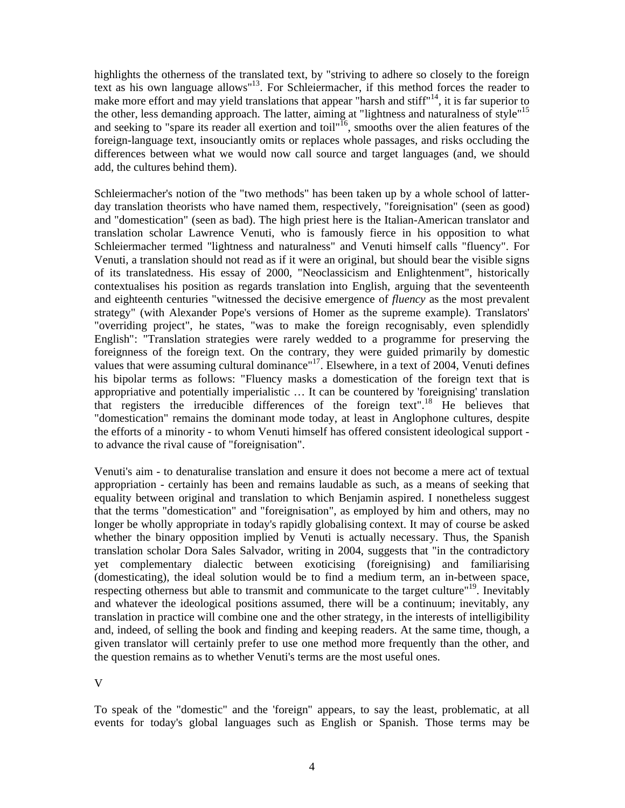highlights the otherness of the translated text, by "striving to adhere so closely to the foreign text as his own language allows"<sup>13</sup>. For Schleiermacher, if this method forces the reader to make more effort and may yield translations that appear "harsh and stiff"<sup>14</sup>, it is far superior to the other, less demanding approach. The latter, aiming at "lightness and naturalness of style"15 and seeking to "spare its reader all exertion and toil"<sup>16</sup>, smooths over the alien features of the foreign-language text, insouciantly omits or replaces whole passages, and risks occluding the differences between what we would now call source and target languages (and, we should add, the cultures behind them).

Schleiermacher's notion of the "two methods" has been taken up by a whole school of latterday translation theorists who have named them, respectively, "foreignisation" (seen as good) and "domestication" (seen as bad). The high priest here is the Italian-American translator and translation scholar Lawrence Venuti, who is famously fierce in his opposition to what Schleiermacher termed "lightness and naturalness" and Venuti himself calls "fluency". For Venuti, a translation should not read as if it were an original, but should bear the visible signs of its translatedness. His essay of 2000, "Neoclassicism and Enlightenment", historically contextualises his position as regards translation into English, arguing that the seventeenth and eighteenth centuries "witnessed the decisive emergence of *fluency* as the most prevalent strategy" (with Alexander Pope's versions of Homer as the supreme example). Translators' "overriding project", he states, "was to make the foreign recognisably, even splendidly English": "Translation strategies were rarely wedded to a programme for preserving the foreignness of the foreign text. On the contrary, they were guided primarily by domestic values that were assuming cultural dominance"<sup>17</sup>. Elsewhere, in a text of 2004, Venuti defines his bipolar terms as follows: "Fluency masks a domestication of the foreign text that is appropriative and potentially imperialistic … It can be countered by 'foreignising' translation that registers the irreducible differences of the foreign text".<sup>18</sup> He believes that "domestication" remains the dominant mode today, at least in Anglophone cultures, despite the efforts of a minority - to whom Venuti himself has offered consistent ideological support to advance the rival cause of "foreignisation".

Venuti's aim - to denaturalise translation and ensure it does not become a mere act of textual appropriation - certainly has been and remains laudable as such, as a means of seeking that equality between original and translation to which Benjamin aspired. I nonetheless suggest that the terms "domestication" and "foreignisation", as employed by him and others, may no longer be wholly appropriate in today's rapidly globalising context. It may of course be asked whether the binary opposition implied by Venuti is actually necessary. Thus, the Spanish translation scholar Dora Sales Salvador, writing in 2004, suggests that "in the contradictory yet complementary dialectic between exoticising (foreignising) and familiarising (domesticating), the ideal solution would be to find a medium term, an in-between space, respecting otherness but able to transmit and communicate to the target culture"19. Inevitably and whatever the ideological positions assumed, there will be a continuum; inevitably, any translation in practice will combine one and the other strategy, in the interests of intelligibility and, indeed, of selling the book and finding and keeping readers. At the same time, though, a given translator will certainly prefer to use one method more frequently than the other, and the question remains as to whether Venuti's terms are the most useful ones.

V

To speak of the "domestic" and the 'foreign" appears, to say the least, problematic, at all events for today's global languages such as English or Spanish. Those terms may be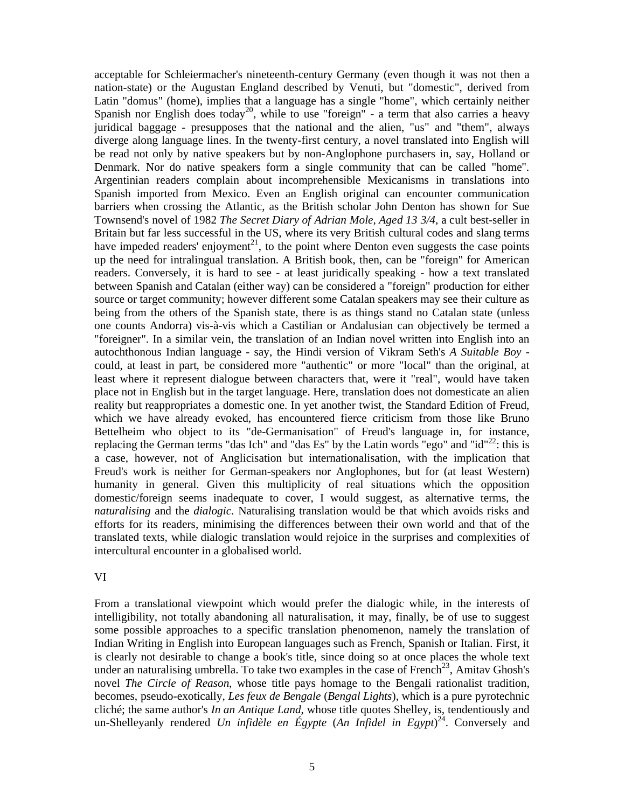acceptable for Schleiermacher's nineteenth-century Germany (even though it was not then a nation-state) or the Augustan England described by Venuti, but "domestic", derived from Latin "domus" (home), implies that a language has a single "home", which certainly neither Spanish nor English does today<sup>20</sup>, while to use "foreign" - a term that also carries a heavy juridical baggage - presupposes that the national and the alien, "us" and "them", always diverge along language lines. In the twenty-first century, a novel translated into English will be read not only by native speakers but by non-Anglophone purchasers in, say, Holland or Denmark. Nor do native speakers form a single community that can be called "home". Argentinian readers complain about incomprehensible Mexicanisms in translations into Spanish imported from Mexico. Even an English original can encounter communication barriers when crossing the Atlantic, as the British scholar John Denton has shown for Sue Townsend's novel of 1982 *The Secret Diary of Adrian Mole, Aged 13 3/4*, a cult best-seller in Britain but far less successful in the US, where its very British cultural codes and slang terms have impeded readers' enjoyment<sup>21</sup>, to the point where Denton even suggests the case points up the need for intralingual translation. A British book, then, can be "foreign" for American readers. Conversely, it is hard to see - at least juridically speaking - how a text translated between Spanish and Catalan (either way) can be considered a "foreign" production for either source or target community; however different some Catalan speakers may see their culture as being from the others of the Spanish state, there is as things stand no Catalan state (unless one counts Andorra) vis-à-vis which a Castilian or Andalusian can objectively be termed a "foreigner". In a similar vein, the translation of an Indian novel written into English into an autochthonous Indian language - say, the Hindi version of Vikram Seth's *A Suitable Boy* could, at least in part, be considered more "authentic" or more "local" than the original, at least where it represent dialogue between characters that, were it "real", would have taken place not in English but in the target language. Here, translation does not domesticate an alien reality but reappropriates a domestic one. In yet another twist, the Standard Edition of Freud, which we have already evoked, has encountered fierce criticism from those like Bruno Bettelheim who object to its "de-Germanisation" of Freud's language in, for instance, replacing the German terms "das Ich" and "das Es" by the Latin words "ego" and " $id^{22}$ : this is a case, however, not of Anglicisation but internationalisation, with the implication that Freud's work is neither for German-speakers nor Anglophones, but for (at least Western) humanity in general. Given this multiplicity of real situations which the opposition domestic/foreign seems inadequate to cover, I would suggest, as alternative terms, the *naturalising* and the *dialogic*. Naturalising translation would be that which avoids risks and efforts for its readers, minimising the differences between their own world and that of the translated texts, while dialogic translation would rejoice in the surprises and complexities of intercultural encounter in a globalised world.

### VI

From a translational viewpoint which would prefer the dialogic while, in the interests of intelligibility, not totally abandoning all naturalisation, it may, finally, be of use to suggest some possible approaches to a specific translation phenomenon, namely the translation of Indian Writing in English into European languages such as French, Spanish or Italian. First, it is clearly not desirable to change a book's title, since doing so at once places the whole text under an naturalising umbrella. To take two examples in the case of French<sup>23</sup>, Amitav Ghosh's novel *The Circle of Reason*, whose title pays homage to the Bengali rationalist tradition, becomes, pseudo-exotically, *Les feux de Bengale* (*Bengal Lights*), which is a pure pyrotechnic cliché; the same author's *In an Antique Land*, whose title quotes Shelley, is, tendentiously and un-Shelleyanly rendered *Un infidèle en Égypte* (*An Infidel in Egypt*) 24. Conversely and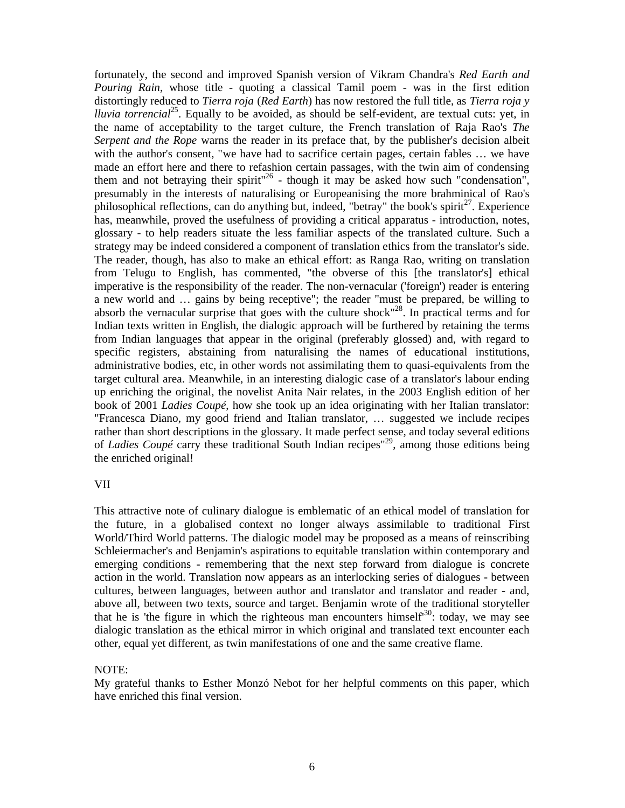fortunately, the second and improved Spanish version of Vikram Chandra's *Red Earth and Pouring Rain*, whose title - quoting a classical Tamil poem - was in the first edition distortingly reduced to *Tierra roja* (*Red Earth*) has now restored the full title, as *Tierra roja y lluvia torrencial*<sup>25</sup>. Equally to be avoided, as should be self-evident, are textual cuts: yet, in the name of acceptability to the target culture, the French translation of Raja Rao's *The Serpent and the Rope* warns the reader in its preface that, by the publisher's decision albeit with the author's consent, "we have had to sacrifice certain pages, certain fables … we have made an effort here and there to refashion certain passages, with the twin aim of condensing them and not betraying their spirit<sup> $26$ </sup> - though it may be asked how such "condensation", presumably in the interests of naturalising or Europeanising the more brahminical of Rao's philosophical reflections, can do anything but, indeed, "betray" the book's spirit<sup>27</sup>. Experience has, meanwhile, proved the usefulness of providing a critical apparatus - introduction, notes, glossary - to help readers situate the less familiar aspects of the translated culture. Such a strategy may be indeed considered a component of translation ethics from the translator's side. The reader, though, has also to make an ethical effort: as Ranga Rao, writing on translation from Telugu to English, has commented, "the obverse of this [the translator's] ethical imperative is the responsibility of the reader. The non-vernacular ('foreign') reader is entering a new world and … gains by being receptive"; the reader "must be prepared, be willing to absorb the vernacular surprise that goes with the culture shock<sup>"28</sup>. In practical terms and for Indian texts written in English, the dialogic approach will be furthered by retaining the terms from Indian languages that appear in the original (preferably glossed) and, with regard to specific registers, abstaining from naturalising the names of educational institutions, administrative bodies, etc, in other words not assimilating them to quasi-equivalents from the target cultural area. Meanwhile, in an interesting dialogic case of a translator's labour ending up enriching the original, the novelist Anita Nair relates, in the 2003 English edition of her book of 2001 *Ladies Coupé*, how she took up an idea originating with her Italian translator: "Francesca Diano, my good friend and Italian translator, … suggested we include recipes rather than short descriptions in the glossary. It made perfect sense, and today several editions of *Ladies Coupé* carry these traditional South Indian recipes<sup>"29</sup>, among those editions being the enriched original!

### VII

This attractive note of culinary dialogue is emblematic of an ethical model of translation for the future, in a globalised context no longer always assimilable to traditional First World/Third World patterns. The dialogic model may be proposed as a means of reinscribing Schleiermacher's and Benjamin's aspirations to equitable translation within contemporary and emerging conditions - remembering that the next step forward from dialogue is concrete action in the world. Translation now appears as an interlocking series of dialogues - between cultures, between languages, between author and translator and translator and reader - and, above all, between two texts, source and target. Benjamin wrote of the traditional storyteller that he is 'the figure in which the righteous man encounters himself<sup>30</sup>: today, we may see dialogic translation as the ethical mirror in which original and translated text encounter each other, equal yet different, as twin manifestations of one and the same creative flame.

# NOTE:

My grateful thanks to Esther Monzó Nebot for her helpful comments on this paper, which have enriched this final version.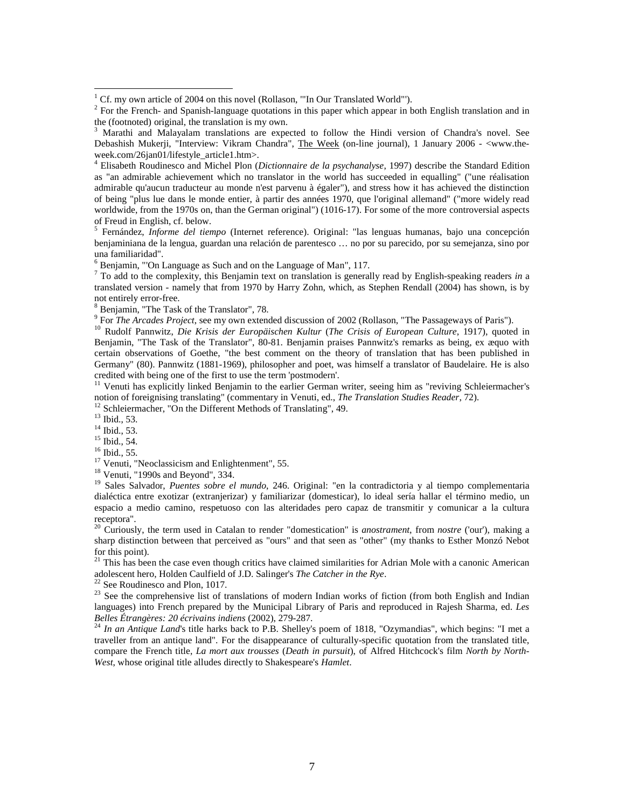<sup>5</sup> Fernández, *Informe del tiempo* (Internet reference). Original: "las lenguas humanas, bajo una concepción benjaminiana de la lengua, guardan una relación de parentesco … no por su parecido, por su semejanza, sino por una familiaridad".

 $6$  Benjamin, "'On Language as Such and on the Language of Man", 117.

<sup>7</sup> To add to the complexity, this Benjamin text on translation is generally read by English-speaking readers *in* a translated version - namely that from 1970 by Harry Zohn, which, as Stephen Rendall (2004) has shown, is by not entirely error-free.

 $8$  Benjamin, "The Task of the Translator", 78.<br> $9$  For *The Arcades Project*, see my own extended discussion of 2002 (Rollason, "The Passageways of Paris").

<sup>10</sup> Rudolf Pannwitz, Die Krisis der Europäischen Kultur (The Crisis of European Culture, 1917), quoted in Benjamin, "The Task of the Translator", 80-81. Benjamin praises Pannwitz's remarks as being, ex æquo with certain observations of Goethe, "the best comment on the theory of translation that has been published in Germany" (80). Pannwitz (1881-1969), philosopher and poet, was himself a translator of Baudelaire. He is also credited with being one of the first to use the term 'postmodern'.

<sup>11</sup> Venuti has explicitly linked Benjamin to the earlier German writer, seeing him as "reviving Schleiermacher's notion of foreignising translating" (commentary in Venuti, ed., *The Translation Studies Reader*, 72).

-

<sup>12</sup> Schleiermacher, "On the Different Methods of Translating", 49.<br><sup>13</sup> Ibid., 53.<br><sup>14</sup> Ibid., 53.<br><sup>15</sup> Ibid., 55.<br><sup>15</sup> Ibid., 55.<br><sup>17</sup> Venuti, "Neoclassicism and Enlightenment", 55.<br><sup>17</sup> Venuti, "1990s and Beyond", 334. dialéctica entre exotizar (extranjerizar) y familiarizar (domesticar), lo ideal sería hallar el término medio, un espacio a medio camino, respetuoso con las alteridades pero capaz de transmitir y comunicar a la cultura receptora".

<sup>20</sup> Curiously, the term used in Catalan to render "domestication" is *anostrament*, from *nostre* ('our'), making a sharp distinction between that perceived as "ours" and that seen as "other" (my thanks to Esther Monzó Nebot for this point).

<sup>21</sup> This has been the case even though critics have claimed similarities for Adrian Mole with a canonic American adolescent hero, Holden Caulfield of J.D. Salinger's *The Catcher in the Rye*.

<sup>22</sup> See Roudinesco and Plon, 1017.<br><sup>23</sup> See the comprehensive list of translations of modern Indian works of fiction (from both English and Indian  $^{23}$ languages) into French prepared by the Municipal Library of Paris and reproduced in Rajesh Sharma, ed. *Les* 

<sup>24</sup> In an Antique Land's title harks back to P.B. Shelley's poem of 1818, "Ozymandias", which begins: "I met a traveller from an antique land". For the disappearance of culturally-specific quotation from the translated title, compare the French title, *La mort aux trousses* (*Death in pursuit*), of Alfred Hitchcock's film *North by North-West*, whose original title alludes directly to Shakespeare's *Hamlet*.

 $1$  Cf. my own article of 2004 on this novel (Rollason, "In Our Translated World").

<sup>&</sup>lt;sup>2</sup> For the French- and Spanish-language quotations in this paper which appear in both English translation and in the (footnoted) original, the translation is my own.

<sup>3</sup> Marathi and Malayalam translations are expected to follow the Hindi version of Chandra's novel. See Debashish Mukerji, "Interview: Vikram Chandra", The Week (on-line journal), 1 January 2006 - <www.theweek.com/26jan01/lifestyle\_article1.htm>.

<sup>4</sup> Elisabeth Roudinesco and Michel Plon (*Dictionnaire de la psychanalyse*, 1997) describe the Standard Edition as "an admirable achievement which no translator in the world has succeeded in equalling" ("une réalisation admirable qu'aucun traducteur au monde n'est parvenu à égaler"), and stress how it has achieved the distinction of being "plus lue dans le monde entier, à partir des années 1970, que l'original allemand" ("more widely read worldwide, from the 1970s on, than the German original") (1016-17). For some of the more controversial aspects of Freud in English, cf. below.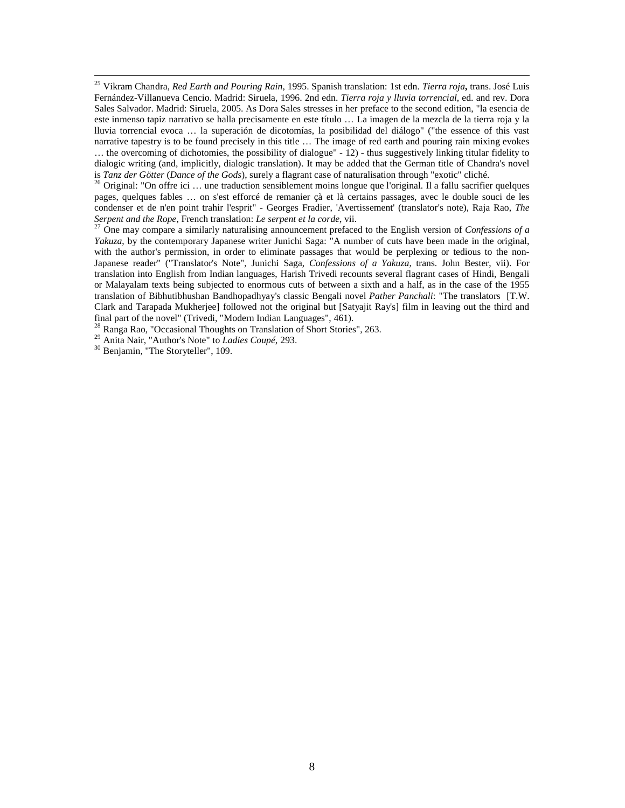<sup>25</sup> Vikram Chandra, *Red Earth and Pouring Rain*, 1995. Spanish translation: 1st edn. *Tierra roja***,** trans. José Luis Fernández-Villanueva Cencio. Madrid: Siruela, 1996. 2nd edn. *Tierra roja y lluvia torrencial*, ed. and rev. Dora Sales Salvador. Madrid: Siruela, 2005. As Dora Sales stresses in her preface to the second edition, "la esencia de este inmenso tapiz narrativo se halla precisamente en este título … La imagen de la mezcla de la tierra roja y la lluvia torrencial evoca … la superación de dicotomías, la posibilidad del diálogo" ("the essence of this vast narrative tapestry is to be found precisely in this title … The image of red earth and pouring rain mixing evokes … the overcoming of dichotomies, the possibility of dialogue" - 12) - thus suggestively linking titular fidelity to dialogic writing (and, implicitly, dialogic translation). It may be added that the German title of Chandra's novel<br>is Tanz der Götter (Dance of the Gods), surely a flagrant case of naturalisation through "exotic" cliché.

<sup>26</sup> Original: "On offre ici ... une traduction sensiblement moins longue que l'original. Il a fallu sacrifier quelques pages, quelques fables … on s'est efforcé de remanier çà et là certains passages, avec le double souci de les condenser et de n'en point trahir l'esprit" - Georges Fradier, 'Avertissement' (translator's note), Raja Rao, *The Serpent and the Rope*, French translation: *Le serpent et la corde*, vii.<br><sup>27</sup> One may compare a similarly naturalising announcement prefaced to the English version of *Confessions of a* 

*Yakuza*, by the contemporary Japanese writer Junichi Saga: "A number of cuts have been made in the original, with the author's permission, in order to eliminate passages that would be perplexing or tedious to the non-Japanese reader" ("Translator's Note", Junichi Saga, *Confessions of a Yakuza*, trans. John Bester, vii). For translation into English from Indian languages, Harish Trivedi recounts several flagrant cases of Hindi, Bengali or Malayalam texts being subjected to enormous cuts of between a sixth and a half, as in the case of the 1955 translation of Bibhutibhushan Bandhopadhyay's classic Bengali novel *Pather Panchali*: "The translators [T.W. Clark and Tarapada Mukherjee] followed not the original but [Satyajit Ray's] film in leaving out the third and final part of the novel" (Trivedi, "Modern Indian Languages", 461).<br><sup>28</sup> Ranga Rao, "Occasional Thoughts on Translation of Short Stories", 263.

29 Anita Nair, "Author's Note" to *Ladies Coupé*, 293.<br><sup>30</sup> Benjamin, "The Storyteller", 109.

-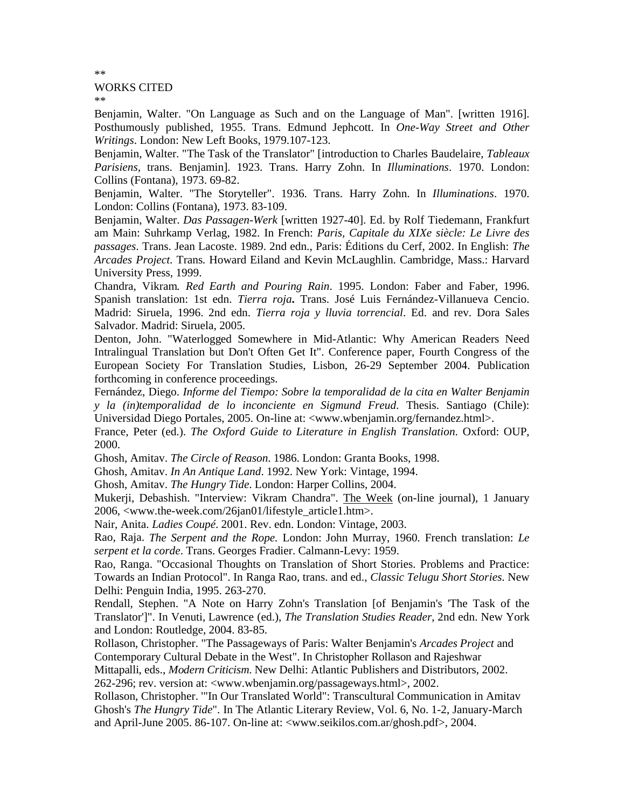#### WORKS CITED

\*\*

\*\*

Benjamin, Walter. "On Language as Such and on the Language of Man". [written 1916]. Posthumously published, 1955. Trans. Edmund Jephcott. In *One-Way Street and Other Writings*. London: New Left Books, 1979.107-123.

Benjamin, Walter. "The Task of the Translator" [introduction to Charles Baudelaire, *Tableaux Parisiens,* trans. Benjamin]. 1923. Trans. Harry Zohn. In *Illuminations*. 1970. London: Collins (Fontana), 1973. 69-82.

Benjamin, Walter. "The Storyteller". 1936. Trans. Harry Zohn. In *Illuminations*. 1970. London: Collins (Fontana), 1973. 83-109.

Benjamin, Walter. *Das Passagen-Werk* [written 1927-40]. Ed. by Rolf Tiedemann, Frankfurt am Main: Suhrkamp Verlag, 1982. In French: *Paris, Capitale du XIXe siècle: Le Livre des passages*. Trans. Jean Lacoste. 1989. 2nd edn., Paris: Éditions du Cerf, 2002. In English: *The Arcades Project*. Trans. Howard Eiland and Kevin McLaughlin. Cambridge, Mass.: Harvard University Press, 1999.

Chandra, Vikram*. Red Earth and Pouring Rain*. 1995. London: Faber and Faber, 1996. Spanish translation: 1st edn. *Tierra roja***.** Trans. José Luis Fernández-Villanueva Cencio. Madrid: Siruela, 1996. 2nd edn. *Tierra roja y lluvia torrencial*. Ed. and rev. Dora Sales Salvador. Madrid: Siruela, 2005.

Denton, John. "Waterlogged Somewhere in Mid-Atlantic: Why American Readers Need Intralingual Translation but Don't Often Get It". Conference paper, Fourth Congress of the European Society For Translation Studies, Lisbon, 26-29 September 2004. Publication forthcoming in conference proceedings.

Fernández, Diego. *Informe del Tiempo: Sobre la temporalidad de la cita en Walter Benjamin y la (in)temporalidad de lo inconciente en Sigmund Freud*. Thesis. Santiago (Chile): Universidad Diego Portales, 2005. On-line at: <www.wbenjamin.org/fernandez.html>.

France, Peter (ed.). *The Oxford Guide to Literature in English Translation*. Oxford: OUP, 2000.

Ghosh, Amitav. *The Circle of Reason*. 1986. London: Granta Books, 1998.

Ghosh, Amitav. *In An Antique Land*. 1992. New York: Vintage, 1994.

Ghosh, Amitav. *The Hungry Tide*. London: Harper Collins, 2004.

Mukerji, Debashish. "Interview: Vikram Chandra". The Week (on-line journal), 1 January 2006, <www.the-week.com/26jan01/lifestyle\_article1.htm>.

Nair, Anita. *Ladies Coupé*. 2001. Rev. edn. London: Vintage, 2003.

Rao, Raja. *The Serpent and the Rope.* London: John Murray, 1960. French translation: *Le serpent et la corde*. Trans. Georges Fradier. Calmann-Levy: 1959.

Rao, Ranga. "Occasional Thoughts on Translation of Short Stories. Problems and Practice: Towards an Indian Protocol". In Ranga Rao, trans. and ed., *Classic Telugu Short Stories*. New Delhi: Penguin India, 1995. 263-270.

Rendall, Stephen. "A Note on Harry Zohn's Translation [of Benjamin's 'The Task of the Translator']". In Venuti, Lawrence (ed.), *The Translation Studies Reader*, 2nd edn. New York and London: Routledge, 2004. 83-85.

Rollason, Christopher. "The Passageways of Paris: Walter Benjamin's *Arcades Project* and Contemporary Cultural Debate in the West". In Christopher Rollason and Rajeshwar

Mittapalli, eds., *Modern Criticism*. New Delhi: Atlantic Publishers and Distributors, 2002.

262-296; rev. version at: <www.wbenjamin.org/passageways.html>, 2002.

Rollason, Christopher. '"In Our Translated World": Transcultural Communication in Amitav Ghosh's *The Hungry Tide*". In The Atlantic Literary Review, Vol. 6, No. 1-2, January-March and April-June 2005. 86-107. On-line at: <www.seikilos.com.ar/ghosh.pdf>, 2004.